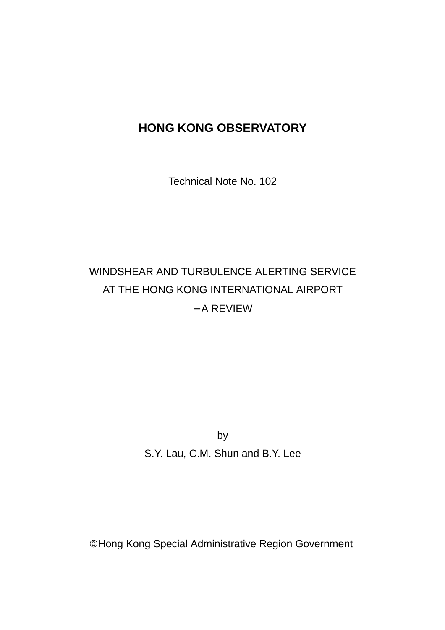## **HONG KONG OBSERVATORY**

Technical Note No. 102

# WINDSHEAR AND TURBULENCE ALERTING SERVICE AT THE HONG KONG INTERNATIONAL AIRPORT − A REVIEW

by S.Y. Lau, C.M. Shun and B.Y. Lee

© Hong Kong Special Administrative Region Government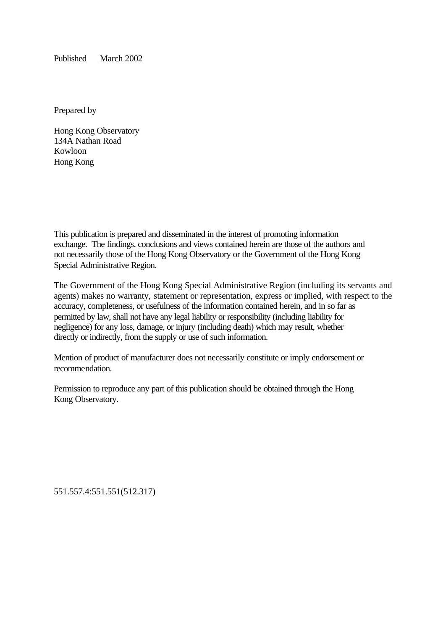Published March 2002

Prepared by

Hong Kong Observatory 134A Nathan Road Kowloon Hong Kong

This publication is prepared and disseminated in the interest of promoting information exchange. The findings, conclusions and views contained herein are those of the authors and not necessarily those of the Hong Kong Observatory or the Government of the Hong Kong Special Administrative Region.

The Government of the Hong Kong Special Administrative Region (including its servants and agents) makes no warranty, statement or representation, express or implied, with respect to the accuracy, completeness, or usefulness of the information contained herein, and in so far as permitted by law, shall not have any legal liability or responsibility (including liability for negligence) for any loss, damage, or injury (including death) which may result, whether directly or indirectly, from the supply or use of such information.

Mention of product of manufacturer does not necessarily constitute or imply endorsement or recommendation.

Permission to reproduce any part of this publication should be obtained through the Hong Kong Observatory.

551.557.4:551.551(512.317)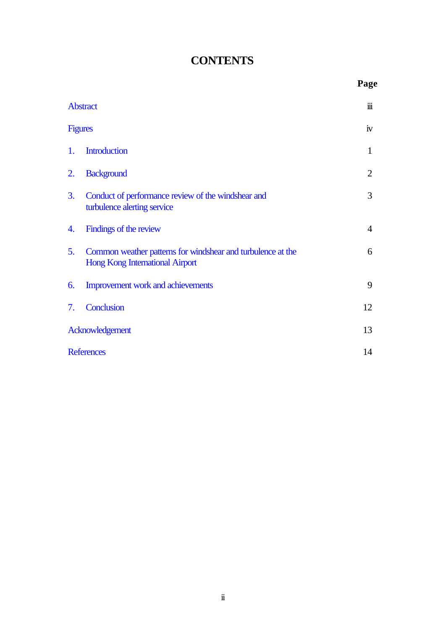## **CONTENTS**

|                   |                                                                                                       | Page           |
|-------------------|-------------------------------------------------------------------------------------------------------|----------------|
| <b>Abstract</b>   |                                                                                                       |                |
| <b>Figures</b>    |                                                                                                       |                |
| 1.                | <b>Introduction</b>                                                                                   | 1              |
| 2.                | <b>Background</b>                                                                                     | $\overline{2}$ |
| 3.                | Conduct of performance review of the windshear and<br>turbulence alerting service                     | 3              |
| 4.                | Findings of the review                                                                                | $\overline{4}$ |
| 5 <sub>1</sub>    | Common weather patterns for windshear and turbulence at the<br><b>Hong Kong International Airport</b> | 6              |
| 6.                | Improvement work and achievements                                                                     | 9              |
| 7.                | Conclusion                                                                                            | 12             |
| Acknowledgement   |                                                                                                       |                |
| <b>References</b> |                                                                                                       |                |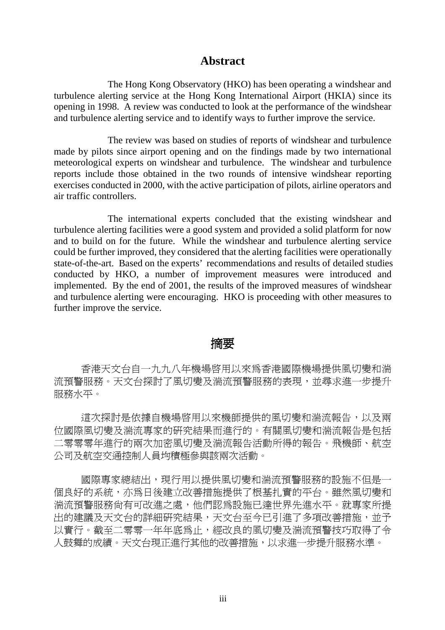#### **Abstract**

<span id="page-3-0"></span>The Hong Kong Observatory (HKO) has been operating a windshear and turbulence alerting service at the Hong Kong International Airport (HKIA) since its opening in 1998. A review was conducted to look at the performance of the windshear and turbulence alerting service and to identify ways to further improve the service.

The review was based on studies of reports of windshear and turbulence made by pilots since airport opening and on the findings made by two international meteorological experts on windshear and turbulence. The windshear and turbulence reports include those obtained in the two rounds of intensive windshear reporting exercises conducted in 2000, with the active participation of pilots, airline operators and air traffic controllers.

The international experts concluded that the existing windshear and turbulence alerting facilities were a good system and provided a solid platform for now and to build on for the future. While the windshear and turbulence alerting service could be further improved, they considered that the alerting facilities were operationally state-of-the-art. Based on the experts' recommendations and results of detailed studies conducted by HKO, a number of improvement measures were introduced and implemented. By the end of 2001, the results of the improved measures of windshear and turbulence alerting were encouraging. HKO is proceeding with other measures to further improve the service.

#### 摘要

香港天文台自一九九八年機場啓用以來為香港國際機場提供風切變和湍 流預警服務。天文台探討了風切變及湍流預警服務的表現,並尋求淮一步提升 服務水平。

這次探討是依據自機場啓用以來機師提供的風切變和湍流報告,以及兩 位國際風切變及湍流專家的研究結果而進行的。有關風切變和湍流報告是包括 二零零零年進行的兩次加密風切變及湍流報告活動所得的報告。飛機師、航空 公司及航空交通控制㆟員均積極參與該兩次活動。

國際專家總結出,現行用以提供風切變和湍流預警服務的設施不但是一 個良好的系統,亦為日後建立改善措施提供了根基扎實的平台。雖然風切變和 湍流預警服務尚有可改進之處,他們認為設施已達世界先進水平。就專家所提 出的建議及天文台的詳細研究結果,天文台至今已引進了多項改善措施,並予 以實行。截至二零零一年年底為止,經改良的風切變及湍流預警技巧取得了令 人鼓舞的成績。天文台現正進行其他的改善措施,以求進一步提升服務水準。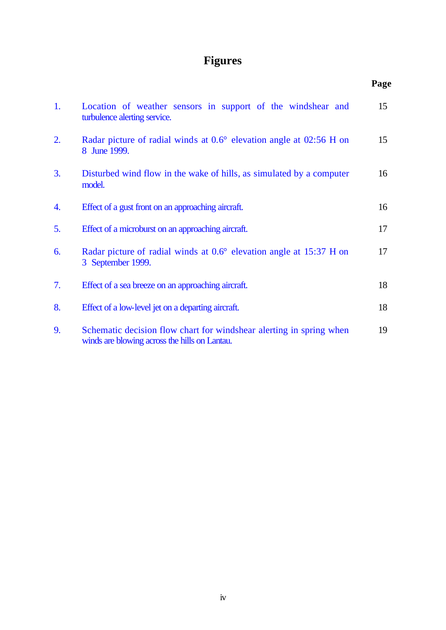# **Figures**

<span id="page-4-0"></span>

|    |                                                                                                                      | Page |
|----|----------------------------------------------------------------------------------------------------------------------|------|
| 1. | Location of weather sensors in support of the windshear and<br>turbulence alerting service.                          | 15   |
| 2. | Radar picture of radial winds at 0.6° elevation angle at 02:56 H on<br>8 June 1999.                                  | 15   |
| 3. | Disturbed wind flow in the wake of hills, as simulated by a computer<br>model.                                       | 16   |
| 4. | Effect of a gust front on an approaching aircraft.                                                                   | 16   |
| 5. | Effect of a microburst on an approaching aircraft.                                                                   | 17   |
| 6. | Radar picture of radial winds at 0.6° elevation angle at 15:37 H on<br>3 September 1999.                             | 17   |
| 7. | Effect of a sea breeze on an approaching aircraft.                                                                   | 18   |
| 8. | Effect of a low-level jet on a departing aircraft.                                                                   | 18   |
| 9. | Schematic decision flow chart for windshear alerting in spring when<br>winds are blowing across the hills on Lantau. | 19   |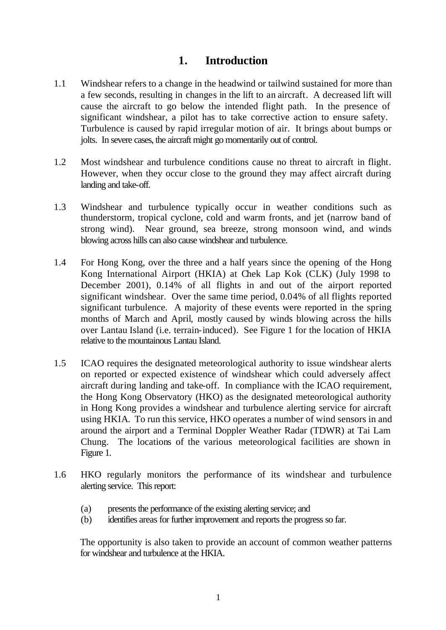## **1. Introduction**

- <span id="page-5-0"></span>1.1 Windshear refers to a change in the headwind or tailwind sustained for more than a few seconds, resulting in changes in the lift to an aircraft. A decreased lift will cause the aircraft to go below the intended flight path. In the presence of significant windshear, a pilot has to take corrective action to ensure safety. Turbulence is caused by rapid irregular motion of air. It brings about bumps or jolts. In severe cases, the aircraft might go momentarily out of control.
- 1.2 Most windshear and turbulence conditions cause no threat to aircraft in flight. However, when they occur close to the ground they may affect aircraft during landing and take-off.
- 1.3 Windshear and turbulence typically occur in weather conditions such as thunderstorm, tropical cyclone, cold and warm fronts, and jet (narrow band of strong wind). Near ground, sea breeze, strong monsoon wind, and winds blowing across hills can also cause windshear and turbulence.
- 1.4 For Hong Kong, over the three and a half years since the opening of the Hong Kong International Airport (HKIA) at Chek Lap Kok (CLK) (July 1998 to December 2001), 0.14% of all flights in and out of the airport reported significant windshear. Over the same time period, 0.04% of all flights reported significant turbulence. A majority of these events were reported in the spring months of March and April, mostly caused by winds blowing across the hills over Lantau Island (i.e. terrain-induced). See Figure 1 for the location of HKIA relative to the mountainous Lantau Island.
- 1.5 ICAO requires the designated meteorological authority to issue windshear alerts on reported or expected existence of windshear which could adversely affect aircraft during landing and take-off. In compliance with the ICAO requirement, the Hong Kong Observatory (HKO) as the designated meteorological authority in Hong Kong provides a windshear and turbulence alerting service for aircraft using HKIA. To run this service, HKO operates a number of wind sensors in and around the airport and a Terminal Doppler Weather Radar (TDWR) at Tai Lam Chung. The locations of the various meteorological facilities are shown in Figure 1.
- 1.6 HKO regularly monitors the performance of its windshear and turbulence alerting service. This report:
	- (a) presents the performance of the existing alerting service; and
	- (b) identifies areas for further improvement and reports the progress so far.

The opportunity is also taken to provide an account of common weather patterns for windshear and turbulence at the HKIA.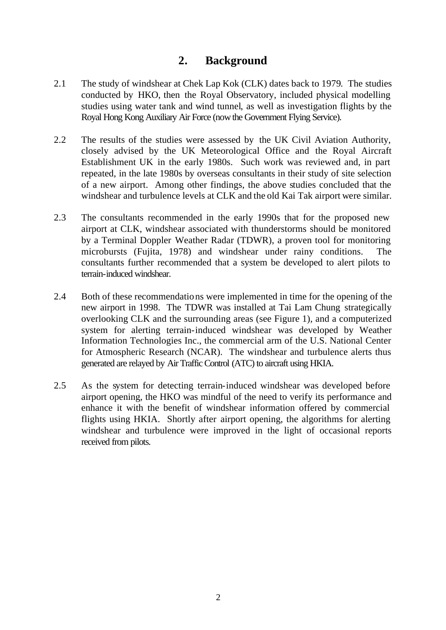## **2. Background**

- <span id="page-6-0"></span>2.1 The study of windshear at Chek Lap Kok (CLK) dates back to 1979. The studies conducted by HKO, then the Royal Observatory, included physical modelling studies using water tank and wind tunnel, as well as investigation flights by the Royal Hong Kong Auxiliary Air Force (now the Government Flying Service).
- 2.2 The results of the studies were assessed by the UK Civil Aviation Authority, closely advised by the UK Meteorological Office and the Royal Aircraft Establishment UK in the early 1980s. Such work was reviewed and, in part repeated, in the late 1980s by overseas consultants in their study of site selection of a new airport. Among other findings, the above studies concluded that the windshear and turbulence levels at CLK and the old Kai Tak airport were similar.
- 2.3 The consultants recommended in the early 1990s that for the proposed new airport at CLK, windshear associated with thunderstorms should be monitored by a Terminal Doppler Weather Radar (TDWR), a proven tool for monitoring microbursts (Fujita, 1978) and windshear under rainy conditions. The consultants further recommended that a system be developed to alert pilots to terrain-induced windshear.
- 2.4 Both of these recommendations were implemented in time for the opening of the new airport in 1998. The TDWR was installed at Tai Lam Chung strategically overlooking CLK and the surrounding areas (see Figure 1), and a computerized system for alerting terrain-induced windshear was developed by Weather Information Technologies Inc., the commercial arm of the U.S. National Center for Atmospheric Research (NCAR). The windshear and turbulence alerts thus generated are relayed by Air Traffic Control (ATC) to aircraft using HKIA.
- 2.5 As the system for detecting terrain-induced windshear was developed before airport opening, the HKO was mindful of the need to verify its performance and enhance it with the benefit of windshear information offered by commercial flights using HKIA. Shortly after airport opening, the algorithms for alerting windshear and turbulence were improved in the light of occasional reports received from pilots.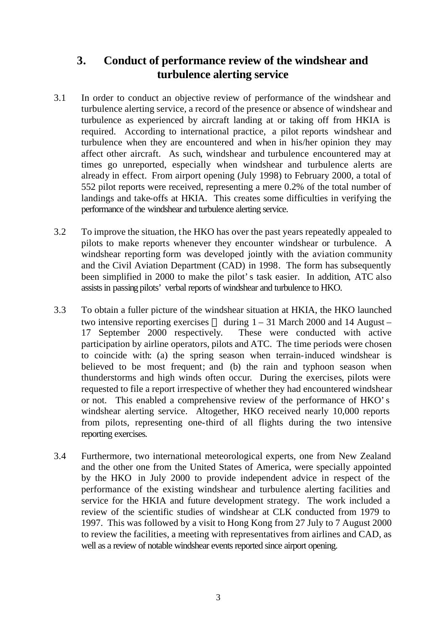## <span id="page-7-0"></span>**3. Conduct of performance review of the windshear and turbulence alerting service**

- 3.1 In order to conduct an objective review of performance of the windshear and turbulence alerting service, a record of the presence or absence of windshear and turbulence as experienced by aircraft landing at or taking off from HKIA is required. According to international practice, a pilot reports windshear and turbulence when they are encountered and when in his/her opinion they may affect other aircraft. As such, windshear and turbulence encountered may at times go unreported, especially when windshear and turbulence alerts are already in effect. From airport opening (July 1998) to February 2000, a total of 552 pilot reports were received, representing a mere 0.2% of the total number of landings and take-offs at HKIA. This creates some difficulties in verifying the performance of the windshear and turbulence alerting service.
- 3.2 To improve the situation, the HKO has over the past years repeatedly appealed to pilots to make reports whenever they encounter windshear or turbulence. A windshear reporting form was developed jointly with the aviation community and the Civil Aviation Department (CAD) in 1998. The form has subsequently been simplified in 2000 to make the pilot's task easier. In addition, ATC also assists in passing pilots' verbal reports of windshear and turbulence to HKO.
- 3.3 To obtain a fuller picture of the windshear situation at HKIA, the HKO launched two intensive reporting exercises — during  $1 - 31$  March 2000 and 14 August – 17 September 2000 respectively. These were conducted with active participation by airline operators, pilots and ATC. The time periods were chosen to coincide with: (a) the spring season when terrain-induced windshear is believed to be most frequent; and (b) the rain and typhoon season when thunderstorms and high winds often occur. During the exercises, pilots were requested to file a report irrespective of whether they had encountered windshear or not. This enabled a comprehensive review of the performance of HKO's windshear alerting service. Altogether, HKO received nearly 10,000 reports from pilots, representing one-third of all flights during the two intensive reporting exercises.
- 3.4 Furthermore, two international meteorological experts, one from New Zealand and the other one from the United States of America, were specially appointed by the HKO in July 2000 to provide independent advice in respect of the performance of the existing windshear and turbulence alerting facilities and service for the HKIA and future development strategy. The work included a review of the scientific studies of windshear at CLK conducted from 1979 to 1997. This was followed by a visit to Hong Kong from 27 July to 7 August 2000 to review the facilities, a meeting with representatives from airlines and CAD, as well as a review of notable windshear events reported since airport opening.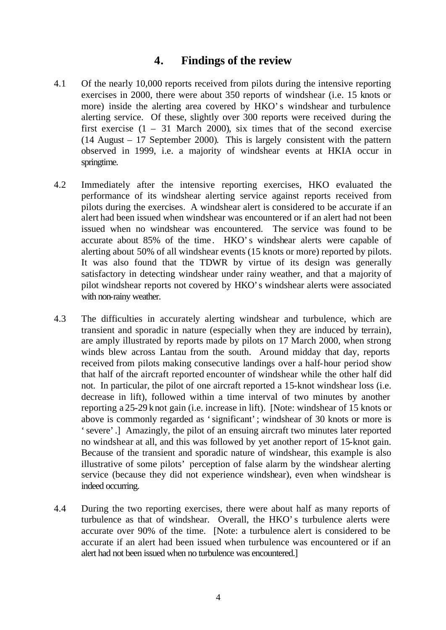## **4. Findings of the review**

- <span id="page-8-0"></span>4.1 Of the nearly 10,000 reports received from pilots during the intensive reporting exercises in 2000, there were about 350 reports of windshear (i.e. 15 knots or more) inside the alerting area covered by HKO's windshear and turbulence alerting service. Of these, slightly over 300 reports were received during the first exercise  $(1 - 31$  March 2000), six times that of the second exercise (14 August – 17 September 2000). This is largely consistent with the pattern observed in 1999, i.e. a majority of windshear events at HKIA occur in springtime.
- 4.2 Immediately after the intensive reporting exercises, HKO evaluated the performance of its windshear alerting service against reports received from pilots during the exercises. A windshear alert is considered to be accurate if an alert had been issued when windshear was encountered or if an alert had not been issued when no windshear was encountered. The service was found to be accurate about 85% of the time. HKO's windshear alerts were capable of alerting about 50% of all windshear events (15 knots or more) reported by pilots. It was also found that the TDWR by virtue of its design was generally satisfactory in detecting windshear under rainy weather, and that a majority of pilot windshear reports not covered by HKO's windshear alerts were associated with non-rainy weather.
- 4.3 The difficulties in accurately alerting windshear and turbulence, which are transient and sporadic in nature (especially when they are induced by terrain), are amply illustrated by reports made by pilots on 17 March 2000, when strong winds blew across Lantau from the south. Around midday that day, reports received from pilots making consecutive landings over a half-hour period show that half of the aircraft reported encounter of windshear while the other half did not. In particular, the pilot of one aircraft reported a 15-knot windshear loss (i.e. decrease in lift), followed within a time interval of two minutes by another reporting a 25-29 knot gain (i.e. increase in lift). [Note: windshear of 15 knots or above is commonly regarded as 'significant'; windshear of 30 knots or more is 'severe'.] Amazingly, the pilot of an ensuing aircraft two minutes later reported no windshear at all, and this was followed by yet another report of 15-knot gain. Because of the transient and sporadic nature of windshear, this example is also illustrative of some pilots' perception of false alarm by the windshear alerting service (because they did not experience windshear), even when windshear is indeed occurring.
- 4.4 During the two reporting exercises, there were about half as many reports of turbulence as that of windshear. Overall, the HKO's turbulence alerts were accurate over 90% of the time. [Note: a turbulence alert is considered to be accurate if an alert had been issued when turbulence was encountered or if an alert had not been issued when no turbulence was encountered.]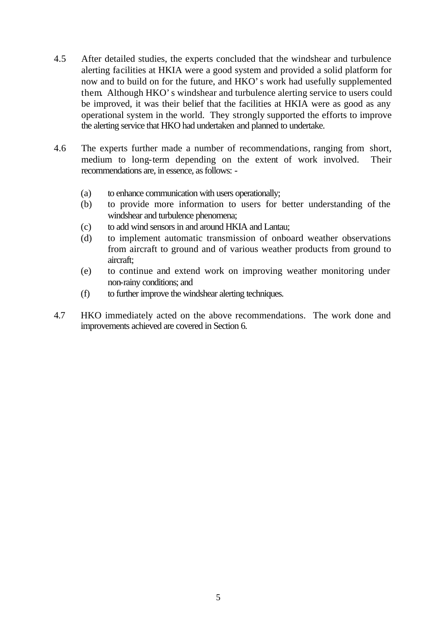- 4.5 After detailed studies, the experts concluded that the windshear and turbulence alerting facilities at HKIA were a good system and provided a solid platform for now and to build on for the future, and HKO's work had usefully supplemented them. Although HKO's windshear and turbulence alerting service to users could be improved, it was their belief that the facilities at HKIA were as good as any operational system in the world. They strongly supported the efforts to improve the alerting service that HKO had undertaken and planned to undertake.
- 4.6 The experts further made a number of recommendations, ranging from short, medium to long-term depending on the extent of work involved. Their recommendations are, in essence, as follows: -
	- (a) to enhance communication with users operationally;
	- (b) to provide more information to users for better understanding of the windshear and turbulence phenomena;
	- (c) to add wind sensors in and around HKIA and Lantau;
	- (d) to implement automatic transmission of onboard weather observations from aircraft to ground and of various weather products from ground to aircraft;
	- (e) to continue and extend work on improving weather monitoring under non-rainy conditions; and
	- (f) to further improve the windshear alerting techniques.
- 4.7 HKO immediately acted on the above recommendations. The work done and improvements achieved are covered in Section 6.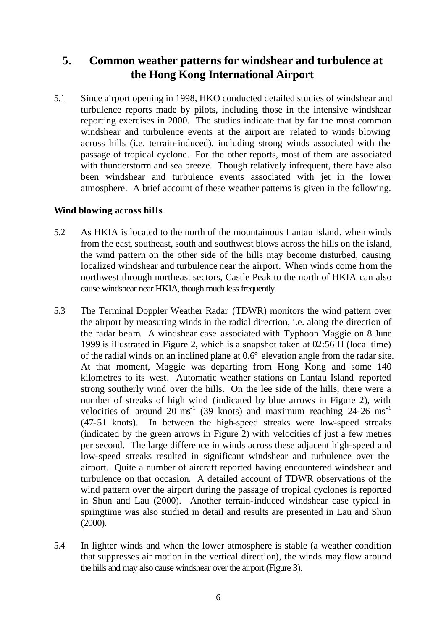## <span id="page-10-0"></span>**5. Common weather patterns for windshear and turbulence at the Hong Kong International Airport**

5.1 Since airport opening in 1998, HKO conducted detailed studies of windshear and turbulence reports made by pilots, including those in the intensive windshear reporting exercises in 2000. The studies indicate that by far the most common windshear and turbulence events at the airport are related to winds blowing across hills (i.e. terrain-induced), including strong winds associated with the passage of tropical cyclone. For the other reports, most of them are associated with thunderstorm and sea breeze. Though relatively infrequent, there have also been windshear and turbulence events associated with jet in the lower atmosphere. A brief account of these weather patterns is given in the following.

#### **Wind blowing across hills**

- 5.2 As HKIA is located to the north of the mountainous Lantau Island, when winds from the east, southeast, south and southwest blows across the hills on the island, the wind pattern on the other side of the hills may become disturbed, causing localized windshear and turbulence near the airport. When winds come from the northwest through northeast sectors, Castle Peak to the north of HKIA can also cause windshear near HKIA, though much less frequently.
- 5.3 The Terminal Doppler Weather Radar (TDWR) monitors the wind pattern over the airport by measuring winds in the radial direction, i.e. along the direction of the radar beam. A windshear case associated with Typhoon Maggie on 8 June 1999 is illustrated in Figure 2, which is a snapshot taken at 02:56 H (local time) of the radial winds on an inclined plane at 0.6° elevation angle from the radar site. At that moment, Maggie was departing from Hong Kong and some 140 kilometres to its west. Automatic weather stations on Lantau Island reported strong southerly wind over the hills. On the lee side of the hills, there were a number of streaks of high wind (indicated by blue arrows in Figure 2), with velocities of around 20  $\text{ms}^{-1}$  (39 knots) and maximum reaching 24-26 ms<sup>-1</sup> (47-51 knots). In between the high-speed streaks were low-speed streaks (indicated by the green arrows in Figure 2) with velocities of just a few metres per second. The large difference in winds across these adjacent high-speed and low-speed streaks resulted in significant windshear and turbulence over the airport. Quite a number of aircraft reported having encountered windshear and turbulence on that occasion. A detailed account of TDWR observations of the wind pattern over the airport during the passage of tropical cyclones is reported in Shun and Lau (2000). Another terrain-induced windshear case typical in springtime was also studied in detail and results are presented in Lau and Shun (2000).
- 5.4 In lighter winds and when the lower atmosphere is stable (a weather condition that suppresses air motion in the vertical direction), the winds may flow around the hills and may also cause windshear over the airport (Figure 3).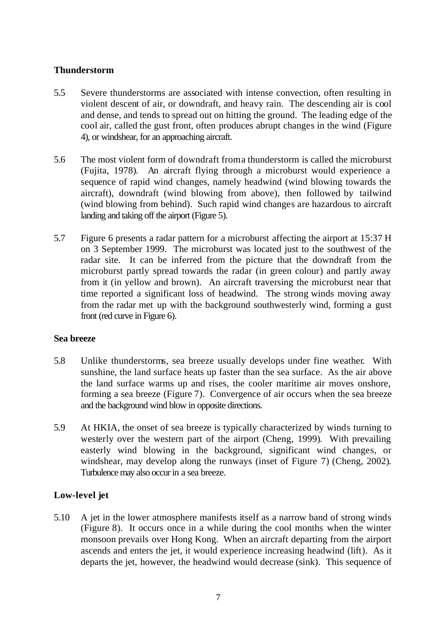#### **Thunderstorm**

- 5.5 Severe thunderstorms are associated with intense convection, often resulting in violent descent of air, or downdraft, and heavy rain. The descending air is cool and dense, and tends to spread out on hitting the ground. The leading edge of the cool air, called the gust front, often produces abrupt changes in the wind (Figure 4), or windshear, for an approaching aircraft.
- 5.6 The most violent form of downdraft from a thunderstorm is called the microburst (Fujita, 1978). An aircraft flying through a microburst would experience a sequence of rapid wind changes, namely headwind (wind blowing towards the aircraft), downdraft (wind blowing from above), then followed by tailwind (wind blowing from behind). Such rapid wind changes are hazardous to aircraft landing and taking off the airport (Figure 5).
- 5.7 Figure 6 presents a radar pattern for a microburst affecting the airport at 15:37 H on 3 September 1999. The microburst was located just to the southwest of the radar site. It can be inferred from the picture that the downdraft from the microburst partly spread towards the radar (in green colour) and partly away from it (in yellow and brown). An aircraft traversing the microburst near that time reported a significant loss of headwind. The strong winds moving away from the radar met up with the background southwesterly wind, forming a gust front (red curve in Figure 6).

#### **Sea breeze**

- 5.8 Unlike thunderstorms, sea breeze usually develops under fine weather. With sunshine, the land surface heats up faster than the sea surface. As the air above the land surface warms up and rises, the cooler maritime air moves onshore, forming a sea breeze (Figure 7). Convergence of air occurs when the sea breeze and the background wind blow in opposite directions.
- 5.9 At HKIA, the onset of sea breeze is typically characterized by winds turning to westerly over the western part of the airport (Cheng, 1999). With prevailing easterly wind blowing in the background, significant wind changes, or windshear, may develop along the runways (inset of Figure 7) (Cheng, 2002). Turbulence may also occur in a sea breeze.

#### **Low-level jet**

5.10 A jet in the lower atmosphere manifests itself as a narrow band of strong winds (Figure 8). It occurs once in a while during the cool months when the winter monsoon prevails over Hong Kong. When an aircraft departing from the airport ascends and enters the jet, it would experience increasing headwind (lift). As it departs the jet, however, the headwind would decrease (sink). This sequence of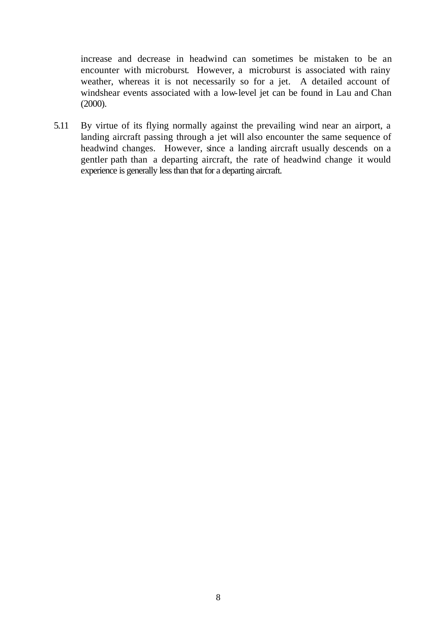increase and decrease in headwind can sometimes be mistaken to be an encounter with microburst. However, a microburst is associated with rainy weather, whereas it is not necessarily so for a jet. A detailed account of windshear events associated with a low-level jet can be found in Lau and Chan (2000).

5.11 By virtue of its flying normally against the prevailing wind near an airport, a landing aircraft passing through a jet will also encounter the same sequence of headwind changes. However, since a landing aircraft usually descends on a gentler path than a departing aircraft, the rate of headwind change it would experience is generally less than that for a departing aircraft.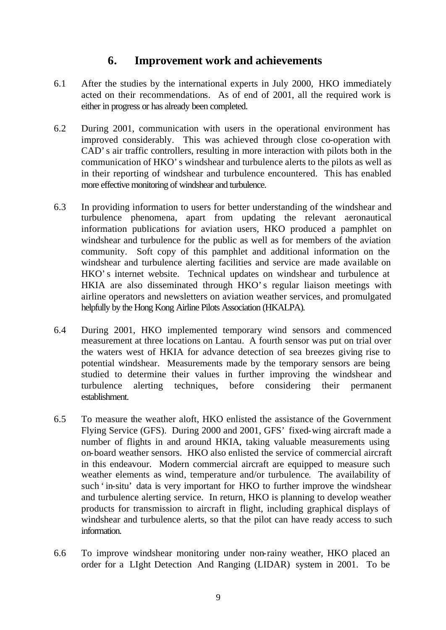## **6. Improvement work and achievements**

- <span id="page-13-0"></span>6.1 After the studies by the international experts in July 2000, HKO immediately acted on their recommendations. As of end of 2001, all the required work is either in progress or has already been completed.
- 6.2 During 2001, communication with users in the operational environment has improved considerably. This was achieved through close co-operation with CAD's air traffic controllers, resulting in more interaction with pilots both in the communication of HKO's windshear and turbulence alerts to the pilots as well as in their reporting of windshear and turbulence encountered. This has enabled more effective monitoring of windshear and turbulence.
- 6.3 In providing information to users for better understanding of the windshear and turbulence phenomena, apart from updating the relevant aeronautical information publications for aviation users, HKO produced a pamphlet on windshear and turbulence for the public as well as for members of the aviation community. Soft copy of this pamphlet and additional information on the windshear and turbulence alerting facilities and service are made available on HKO's internet website. Technical updates on windshear and turbulence at HKIA are also disseminated through HKO's regular liaison meetings with airline operators and newsletters on aviation weather services, and promulgated helpfully by the Hong Kong Airline Pilots Association (HKALPA).
- 6.4 During 2001, HKO implemented temporary wind sensors and commenced measurement at three locations on Lantau. A fourth sensor was put on trial over the waters west of HKIA for advance detection of sea breezes giving rise to potential windshear. Measurements made by the temporary sensors are being studied to determine their values in further improving the windshear and turbulence alerting techniques, before considering their permanent establishment.
- 6.5 To measure the weather aloft, HKO enlisted the assistance of the Government Flying Service (GFS). During 2000 and 2001, GFS' fixed-wing aircraft made a number of flights in and around HKIA, taking valuable measurements using on-board weather sensors. HKO also enlisted the service of commercial aircraft in this endeavour. Modern commercial aircraft are equipped to measure such weather elements as wind, temperature and/or turbulence. The availability of such 'in-situ' data is very important for HKO to further improve the windshear and turbulence alerting service. In return, HKO is planning to develop weather products for transmission to aircraft in flight, including graphical displays of windshear and turbulence alerts, so that the pilot can have ready access to such information.
- 6.6 To improve windshear monitoring under non-rainy weather, HKO placed an order for a LIght Detection And Ranging (LIDAR) system in 2001. To be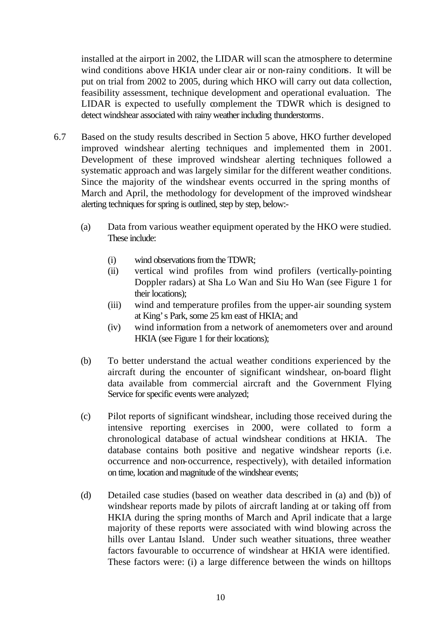installed at the airport in 2002, the LIDAR will scan the atmosphere to determine wind conditions above HKIA under clear air or non-rainy conditions. It will be put on trial from 2002 to 2005, during which HKO will carry out data collection, feasibility assessment, technique development and operational evaluation. The LIDAR is expected to usefully complement the TDWR which is designed to detect windshear associated with rainy weather including thunderstorms.

- 6.7 Based on the study results described in Section 5 above, HKO further developed improved windshear alerting techniques and implemented them in 2001. Development of these improved windshear alerting techniques followed a systematic approach and was largely similar for the different weather conditions. Since the majority of the windshear events occurred in the spring months of March and April, the methodology for development of the improved windshear alerting techniques for spring is outlined, step by step, below:-
	- (a) Data from various weather equipment operated by the HKO were studied. These include:
		- (i) wind observations from the TDWR;
		- (ii) vertical wind profiles from wind profilers (vertically-pointing Doppler radars) at Sha Lo Wan and Siu Ho Wan (see Figure 1 for their locations);
		- (iii) wind and temperature profiles from the upper-air sounding system at King's Park, some 25 km east of HKIA; and
		- (iv) wind information from a network of anemometers over and around HKIA (see Figure 1 for their locations);
	- (b) To better understand the actual weather conditions experienced by the aircraft during the encounter of significant windshear, on-board flight data available from commercial aircraft and the Government Flying Service for specific events were analyzed;
	- (c) Pilot reports of significant windshear, including those received during the intensive reporting exercises in 2000, were collated to form a chronological database of actual windshear conditions at HKIA. The database contains both positive and negative windshear reports (i.e. occurrence and non-occurrence, respectively), with detailed information on time, location and magnitude of the windshear events;
	- (d) Detailed case studies (based on weather data described in (a) and (b)) of windshear reports made by pilots of aircraft landing at or taking off from HKIA during the spring months of March and April indicate that a large majority of these reports were associated with wind blowing across the hills over Lantau Island. Under such weather situations, three weather factors favourable to occurrence of windshear at HKIA were identified. These factors were: (i) a large difference between the winds on hilltops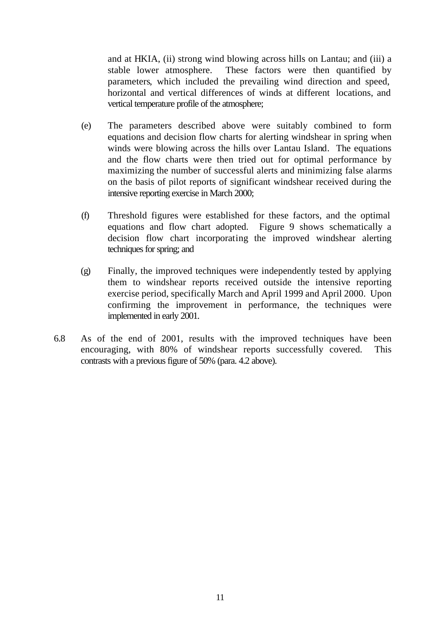and at HKIA, (ii) strong wind blowing across hills on Lantau; and (iii) a stable lower atmosphere. These factors were then quantified by parameters, which included the prevailing wind direction and speed, horizontal and vertical differences of winds at different locations, and vertical temperature profile of the atmosphere;

- (e) The parameters described above were suitably combined to form equations and decision flow charts for alerting windshear in spring when winds were blowing across the hills over Lantau Island. The equations and the flow charts were then tried out for optimal performance by maximizing the number of successful alerts and minimizing false alarms on the basis of pilot reports of significant windshear received during the intensive reporting exercise in March 2000;
- (f) Threshold figures were established for these factors, and the optimal equations and flow chart adopted. Figure 9 shows schematically a decision flow chart incorporating the improved windshear alerting techniques for spring; and
- (g) Finally, the improved techniques were independently tested by applying them to windshear reports received outside the intensive reporting exercise period, specifically March and April 1999 and April 2000. Upon confirming the improvement in performance, the techniques were implemented in early 2001.
- 6.8 As of the end of 2001, results with the improved techniques have been encouraging, with 80% of windshear reports successfully covered. This contrasts with a previous figure of 50% (para. 4.2 above).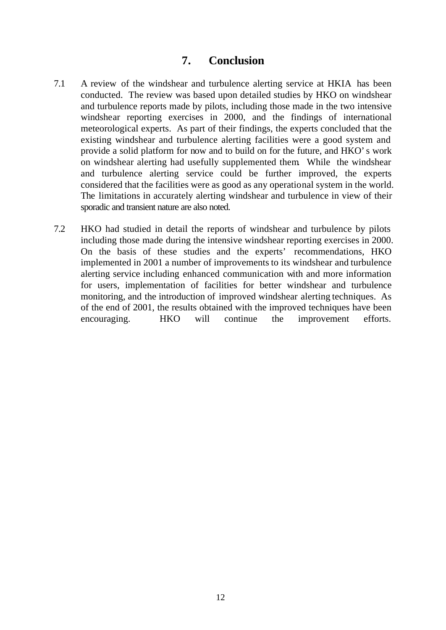#### **7. Conclusion**

- <span id="page-16-0"></span>7.1 A review of the windshear and turbulence alerting service at HKIA has been conducted. The review was based upon detailed studies by HKO on windshear and turbulence reports made by pilots, including those made in the two intensive windshear reporting exercises in 2000, and the findings of international meteorological experts. As part of their findings, the experts concluded that the existing windshear and turbulence alerting facilities were a good system and provide a solid platform for now and to build on for the future, and HKO's work on windshear alerting had usefully supplemented them. While the windshear and turbulence alerting service could be further improved, the experts considered that the facilities were as good as any operational system in the world. The limitations in accurately alerting windshear and turbulence in view of their sporadic and transient nature are also noted.
- 7.2 HKO had studied in detail the reports of windshear and turbulence by pilots including those made during the intensive windshear reporting exercises in 2000. On the basis of these studies and the experts' recommendations, HKO implemented in 2001 a number of improvements to its windshear and turbulence alerting service including enhanced communication with and more information for users, implementation of facilities for better windshear and turbulence monitoring, and the introduction of improved windshear alerting techniques. As of the end of 2001, the results obtained with the improved techniques have been encouraging. HKO will continue the improvement efforts.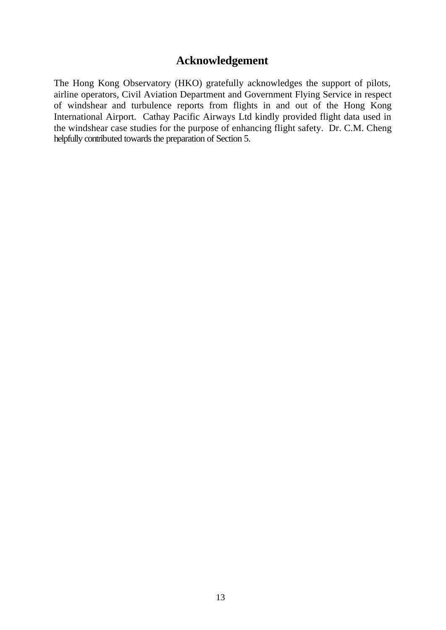## **Acknowledgement**

<span id="page-17-0"></span>The Hong Kong Observatory (HKO) gratefully acknowledges the support of pilots, airline operators, Civil Aviation Department and Government Flying Service in respect of windshear and turbulence reports from flights in and out of the Hong Kong International Airport. Cathay Pacific Airways Ltd kindly provided flight data used in the windshear case studies for the purpose of enhancing flight safety. Dr. C.M. Cheng helpfully contributed towards the preparation of Section 5.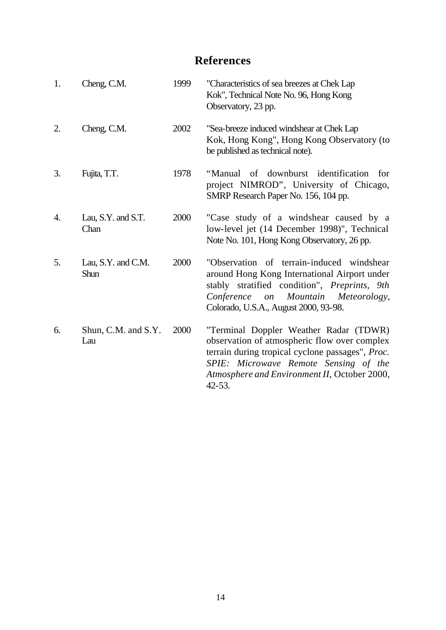# **References**

<span id="page-18-0"></span>

| 1. | Cheng, C.M.                | 1999 | "Characteristics of sea breezes at Chek Lap<br>Kok", Technical Note No. 96, Hong Kong<br>Observatory, 23 pp.                                                                                                                                       |
|----|----------------------------|------|----------------------------------------------------------------------------------------------------------------------------------------------------------------------------------------------------------------------------------------------------|
| 2. | Cheng, C.M.                | 2002 | "Sea-breeze induced windshear at Chek Lap<br>Kok, Hong Kong", Hong Kong Observatory (to<br>be published as technical note).                                                                                                                        |
| 3. | Fujita, T.T.               | 1978 | "Manual of downburst identification<br>for<br>project NIMROD", University of Chicago,<br>SMRP Research Paper No. 156, 104 pp.                                                                                                                      |
| 4. | Lau, S.Y. and S.T.<br>Chan | 2000 | "Case study of a windshear caused by a<br>low-level jet (14 December 1998)", Technical<br>Note No. 101, Hong Kong Observatory, 26 pp.                                                                                                              |
| 5. | Lau, S.Y. and C.M.<br>Shun | 2000 | "Observation of terrain-induced windshear<br>around Hong Kong International Airport under<br>stably stratified condition", Preprints, 9th<br>Mountain<br>Conference<br>Meteorology,<br><i>on</i><br>Colorado, U.S.A., August 2000, 93-98.          |
| 6. | Shun, C.M. and S.Y.<br>Lau | 2000 | "Terminal Doppler Weather Radar (TDWR)<br>observation of atmospheric flow over complex<br>terrain during tropical cyclone passages", Proc.<br>SPIE: Microwave Remote Sensing of the<br>Atmosphere and Environment II, October 2000,<br>$42 - 53$ . |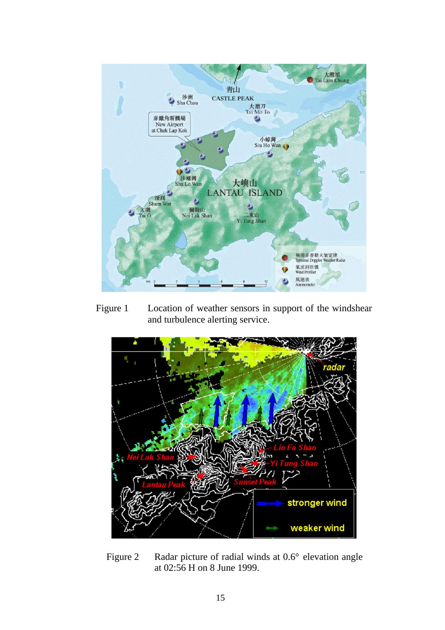<span id="page-19-0"></span>

Figure 1 Location of weather sensors in support of the windshear and turbulence alerting service.



Figure 2 Radar picture of radial winds at 0.6° elevation angle at 02:56 H on 8 June 1999.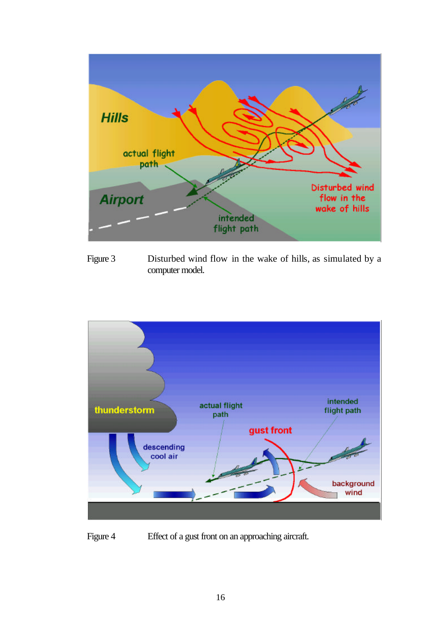<span id="page-20-0"></span>

Figure 3 Disturbed wind flow in the wake of hills, as simulated by a computer model.



Figure 4 Effect of a gust front on an approaching aircraft.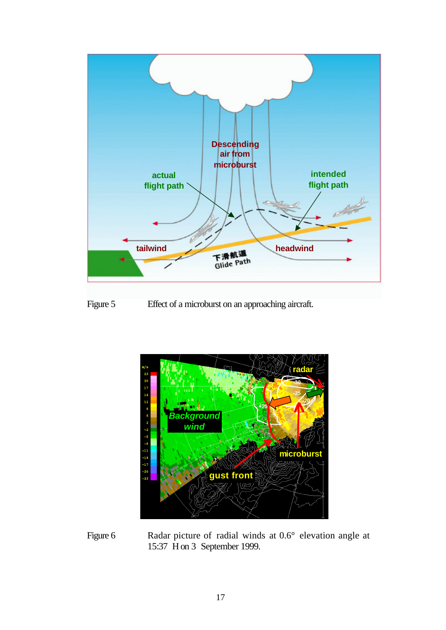<span id="page-21-0"></span>

Figure 5 Effect of a microburst on an approaching aircraft.



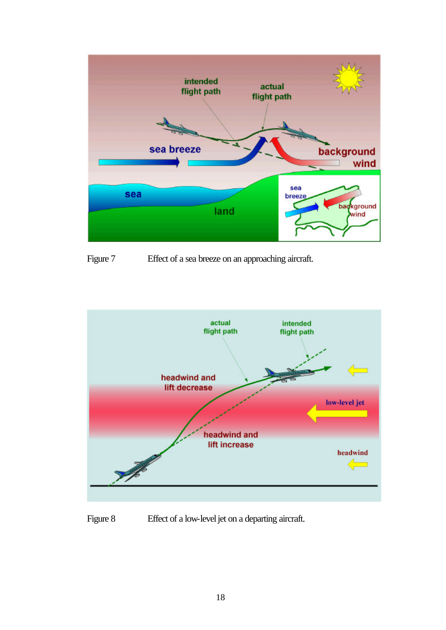<span id="page-22-0"></span>

Figure 7 Effect of a sea breeze on an approaching aircraft.



Figure 8 Effect of a low-level jet on a departing aircraft.